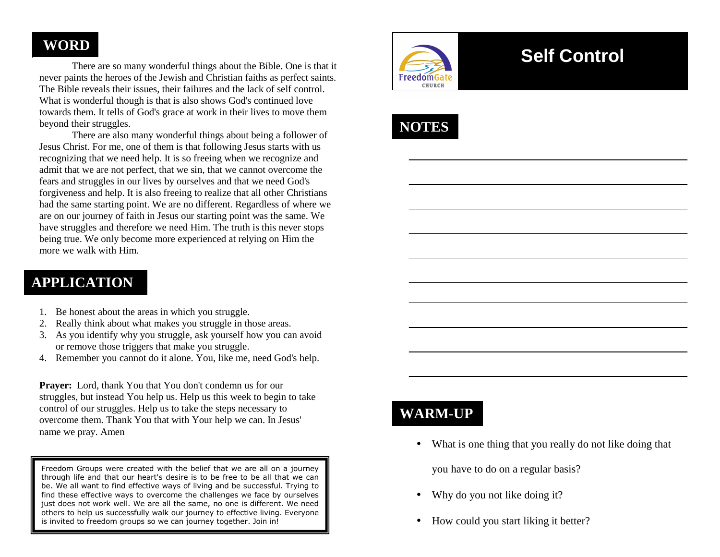#### **WORD**

 There are so many wonderful things about the Bible. One is that it never paints the heroes of the Jewish and Christian faiths as perfect saints. The Bible reveals their issues, their failures and the lack of self control. What is wonderful though is that is also shows God's continued love towards them. It tells of God's grace at work in their lives to move them beyond their struggles.

 There are also many wonderful things about being a follower of Jesus Christ. For me, one of them is that following Jesus starts with us recognizing that we need help. It is so freeing when we recognize and admit that we are not perfect, that we sin, that we cannot overcome the fears and struggles in our lives by ourselves and that we need God's forgiveness and help. It is also freeing to realize that all other Christians had the same starting point. We are no different. Regardless of where we are on our journey of faith in Jesus our starting point was the same. We have struggles and therefore we need Him. The truth is this never stops being true. We only become more experienced at relying on Him the more we walk with Him.

## **APPLICATION**

- 1. Be honest about the areas in which you struggle.
- 2. Really think about what makes you struggle in those areas.
- 3. As you identify why you struggle, ask yourself how you can avoid or remove those triggers that make you struggle.
- 4. Remember you cannot do it alone. You, like me, need God's help.

**Prayer:** Lord, thank You that You don't condemn us for our struggles, but instead You help us. Help us this week to begin to take control of our struggles. Help us to take the steps necessary to overcome them. Thank You that with Your help we can. In Jesus' name we pray. Amen

Freedom Groups were created with the belief that we are all on a journey through life and that our heart's desire is to be free to be all that we can be. We all want to find effective ways of living and be successful. Trying to find these effective ways to overcome the challenges we face by ourselves just does not work well. We are all the same, no one is different. We need others to help us successfully walk our journey to effective living. Everyone is invited to freedom groups so we can journey together. Join in!



# **Self Control**



## **WARM-UP**

• What is one thing that you really do not like doing that

you have to do on a regular basis?

- $\bullet$ Why do you not like doing it?
- $\bullet$ How could you start liking it better?